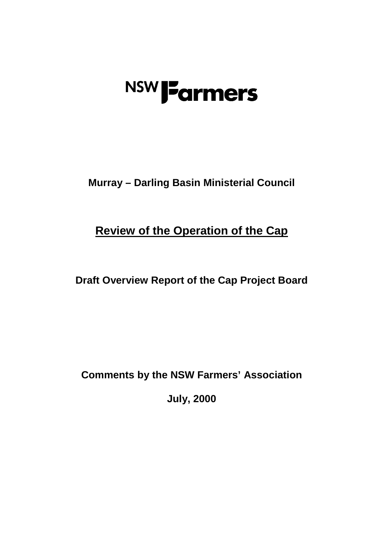# **NSW J<sup>F</sup>armers**

**Murray – Darling Basin Ministerial Council**

**Review of the Operation of the Cap**

**Draft Overview Report of the Cap Project Board**

**Comments by the NSW Farmers' Association**

**July, 2000**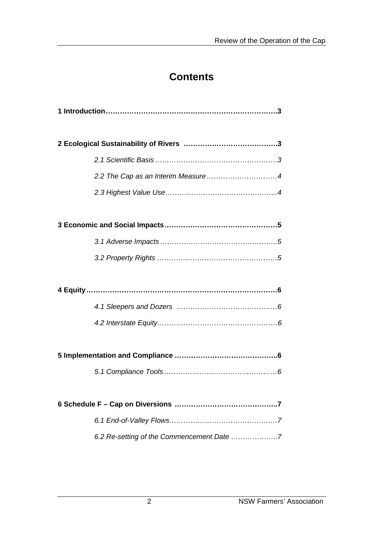# **Contents**

| 6.2 Re-setting of the Commencement Date 7 |
|-------------------------------------------|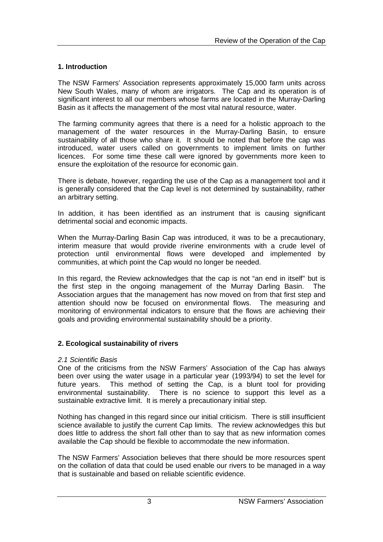# **1. Introduction**

The NSW Farmers' Association represents approximately 15,000 farm units across New South Wales, many of whom are irrigators. The Cap and its operation is of significant interest to all our members whose farms are located in the Murray-Darling Basin as it affects the management of the most vital natural resource, water.

The farming community agrees that there is a need for a holistic approach to the management of the water resources in the Murray-Darling Basin, to ensure sustainability of all those who share it. It should be noted that before the cap was introduced, water users called on governments to implement limits on further licences. For some time these call were ignored by governments more keen to ensure the exploitation of the resource for economic gain.

There is debate, however, regarding the use of the Cap as a management tool and it is generally considered that the Cap level is not determined by sustainability, rather an arbitrary setting.

In addition, it has been identified as an instrument that is causing significant detrimental social and economic impacts.

When the Murray-Darling Basin Cap was introduced, it was to be a precautionary, interim measure that would provide riverine environments with a crude level of protection until environmental flows were developed and implemented by communities, at which point the Cap would no longer be needed.

In this regard, the Review acknowledges that the cap is not "an end in itself" but is the first step in the ongoing management of the Murray Darling Basin. The Association argues that the management has now moved on from that first step and attention should now be focused on environmental flows. The measuring and monitoring of environmental indicators to ensure that the flows are achieving their goals and providing environmental sustainability should be a priority.

# **2. Ecological sustainability of rivers**

#### *2.1 Scientific Basis*

One of the criticisms from the NSW Farmers' Association of the Cap has always been over using the water usage in a particular year (1993/94) to set the level for future years. This method of setting the Cap, is a blunt tool for providing environmental sustainability. There is no science to support this level as a sustainable extractive limit. It is merely a precautionary initial step.

Nothing has changed in this regard since our initial criticism. There is still insufficient science available to justify the current Cap limits. The review acknowledges this but does little to address the short fall other than to say that as new information comes available the Cap should be flexible to accommodate the new information.

The NSW Farmers' Association believes that there should be more resources spent on the collation of data that could be used enable our rivers to be managed in a way that is sustainable and based on reliable scientific evidence.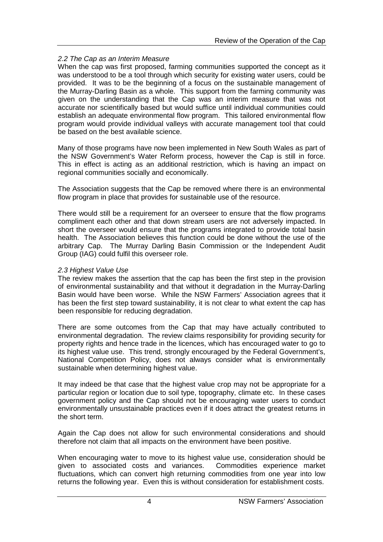# *2.2 The Cap as an Interim Measure*

When the cap was first proposed, farming communities supported the concept as it was understood to be a tool through which security for existing water users, could be provided. It was to be the beginning of a focus on the sustainable management of the Murray-Darling Basin as a whole. This support from the farming community was given on the understanding that the Cap was an interim measure that was not accurate nor scientifically based but would suffice until individual communities could establish an adequate environmental flow program. This tailored environmental flow program would provide individual valleys with accurate management tool that could be based on the best available science.

Many of those programs have now been implemented in New South Wales as part of the NSW Government's Water Reform process, however the Cap is still in force. This in effect is acting as an additional restriction, which is having an impact on regional communities socially and economically.

The Association suggests that the Cap be removed where there is an environmental flow program in place that provides for sustainable use of the resource.

There would still be a requirement for an overseer to ensure that the flow programs compliment each other and that down stream users are not adversely impacted. In short the overseer would ensure that the programs integrated to provide total basin health. The Association believes this function could be done without the use of the arbitrary Cap. The Murray Darling Basin Commission or the Independent Audit Group (IAG) could fulfil this overseer role.

#### *2.3 Highest Value Use*

The review makes the assertion that the cap has been the first step in the provision of environmental sustainability and that without it degradation in the Murray-Darling Basin would have been worse. While the NSW Farmers' Association agrees that it has been the first step toward sustainability, it is not clear to what extent the cap has been responsible for reducing degradation.

There are some outcomes from the Cap that may have actually contributed to environmental degradation. The review claims responsibility for providing security for property rights and hence trade in the licences, which has encouraged water to go to its highest value use. This trend, strongly encouraged by the Federal Government's, National Competition Policy, does not always consider what is environmentally sustainable when determining highest value.

It may indeed be that case that the highest value crop may not be appropriate for a particular region or location due to soil type, topography, climate etc. In these cases government policy and the Cap should not be encouraging water users to conduct environmentally unsustainable practices even if it does attract the greatest returns in the short term.

Again the Cap does not allow for such environmental considerations and should therefore not claim that all impacts on the environment have been positive.

When encouraging water to move to its highest value use, consideration should be given to associated costs and variances. Commodities experience market fluctuations, which can convert high returning commodities from one year into low returns the following year. Even this is without consideration for establishment costs.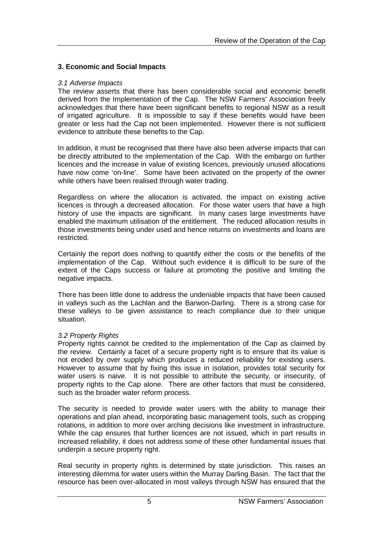# **3. Economic and Social Impacts**

## *3.1 Adverse Impacts*

The review asserts that there has been considerable social and economic benefit derived from the Implementation of the Cap. The NSW Farmers' Association freely acknowledges that there have been significant benefits to regional NSW as a result of irrigated agriculture. It is impossible to say if these benefits would have been greater or less had the Cap not been implemented. However there is not sufficient evidence to attribute these benefits to the Cap.

In addition, it must be recognised that there have also been adverse impacts that can be directly attributed to the implementation of the Cap. With the embargo on further licences and the increase in value of existing licences, previously unused allocations have now come 'on-line'. Some have been activated on the property of the owner while others have been realised through water trading.

Regardless on where the allocation is activated, the impact on existing active licences is through a decreased allocation. For those water users that have a high history of use the impacts are significant. In many cases large investments have enabled the maximum utilisation of the entitlement. The reduced allocation results in those investments being under used and hence returns on investments and loans are restricted.

Certainly the report does nothing to quantify either the costs or the benefits of the implementation of the Cap. Without such evidence it is difficult to be sure of the extent of the Caps success or failure at promoting the positive and limiting the negative impacts.

There has been little done to address the undeniable impacts that have been caused in valleys such as the Lachlan and the Barwon-Darling. There is a strong case for these valleys to be given assistance to reach compliance due to their unique situation.

# *3.2 Property Rights*

Property rights cannot be credited to the implementation of the Cap as claimed by the review. Certainly a facet of a secure property right is to ensure that its value is not eroded by over supply which produces a reduced reliability for existing users. However to assume that by fixing this issue in isolation, provides total security for water users is naive. It is not possible to attribute the security, or insecurity, of property rights to the Cap alone. There are other factors that must be considered, such as the broader water reform process.

The security is needed to provide water users with the ability to manage their operations and plan ahead, incorporating basic management tools, such as cropping rotations, in addition to more over arching decisions like investment in infrastructure. While the cap ensures that further licences are not issued, which in part results in increased reliability, it does not address some of these other fundamental issues that underpin a secure property right.

Real security in property rights is determined by state jurisdiction. This raises an interesting dilemma for water users within the Murray Darling Basin. The fact that the resource has been over-allocated in most valleys through NSW has ensured that the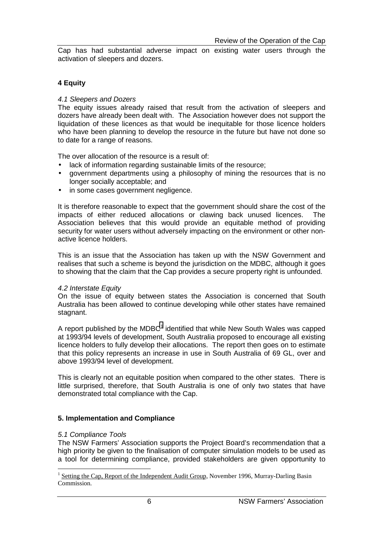Cap has had substantial adverse impact on existing water users through the activation of sleepers and dozers.

## **4 Equity**

#### *4.1 Sleepers and Dozers*

The equity issues already raised that result from the activation of sleepers and dozers have already been dealt with. The Association however does not support the liquidation of these licences as that would be inequitable for those licence holders who have been planning to develop the resource in the future but have not done so to date for a range of reasons.

The over allocation of the resource is a result of:

- lack of information regarding sustainable limits of the resource;
- government departments using a philosophy of mining the resources that is no longer socially acceptable; and
- in some cases government negligence.

It is therefore reasonable to expect that the government should share the cost of the impacts of either reduced allocations or clawing back unused licences. The Association believes that this would provide an equitable method of providing security for water users without adversely impacting on the environment or other nonactive licence holders.

This is an issue that the Association has taken up with the NSW Government and realises that such a scheme is beyond the jurisdiction on the MDBC, although it goes to showing that the claim that the Cap provides a secure property right is unfounded.

#### *4.2 Interstate Equity*

On the issue of equity between states the Association is concerned that South Australia has been allowed to continue developing while other states have remained stagnant.

A report published by the MDBC<sup>1</sup> identified that while New South Wales was capped at 1993/94 levels of development, South Australia proposed to encourage all existing licence holders to fully develop their allocations. The report then goes on to estimate that this policy represents an increase in use in South Australia of 69 GL, over and above 1993/94 level of development.

This is clearly not an equitable position when compared to the other states. There is little surprised, therefore, that South Australia is one of only two states that have demonstrated total compliance with the Cap.

#### **5. Implementation and Compliance**

#### *5.1 Compliance Tools*

 $\overline{a}$ 

The NSW Farmers' Association supports the Project Board's recommendation that a high priority be given to the finalisation of computer simulation models to be used as a tool for determining compliance, provided stakeholders are given opportunity to

<sup>1</sup> Setting the Cap, Report of the Independent Audit Group, November 1996, Murray-Darling Basin Commission.